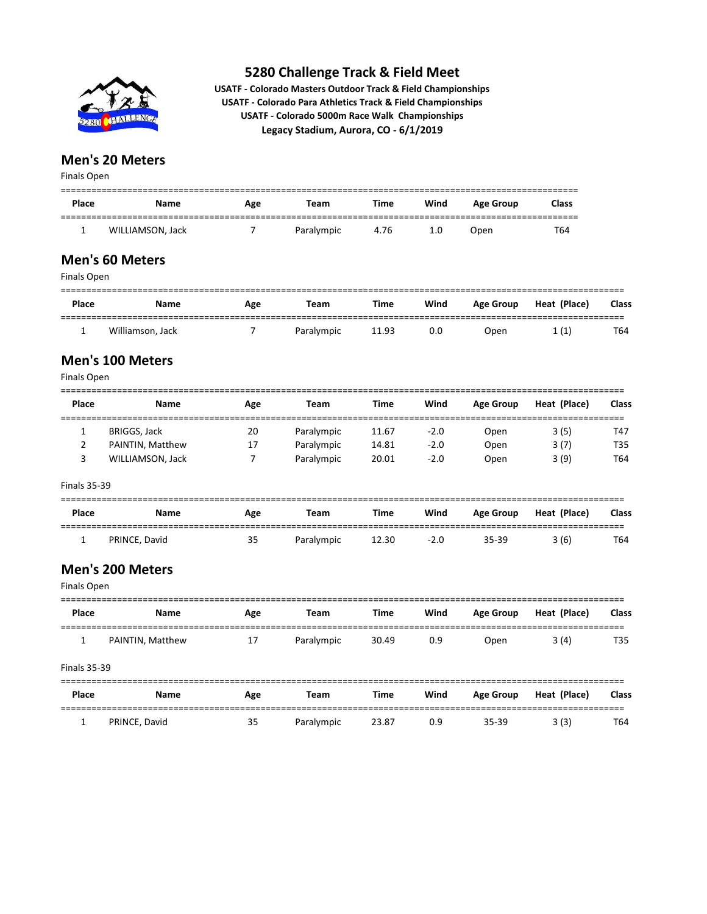

**USATF - Colorado Masters Outdoor Track & Field Championships USATF - Colorado Para Athletics Track & Field Championships USATF - Colorado 5000m Race Walk Championships Legacy Stadium, Aurora, CO - 6/1/2019**

## **Men's 20 Meters**

Finals Open

| Place | Name             | Age | Team       | Time | Wind | Age Group | <b>Class</b> |
|-------|------------------|-----|------------|------|------|-----------|--------------|
|       | WILLIAMSON, Jack |     | Paralympic | 4.76 | 1.0  | Open      | T64          |

## **Men's 60 Meters**

| Finals Open |                  |     |            |       |      |                  |              |       |
|-------------|------------------|-----|------------|-------|------|------------------|--------------|-------|
| Place       | <b>Name</b>      | Age | Team       | Time  | Wind | <b>Age Group</b> | Heat (Place) | Class |
|             | Williamson, Jack |     | Paralympic | 11.93 | 0.0  | Open             | 1(1)         | T64   |

## **Men's 100 Meters**

Finals Open

| Place | <b>Name</b>         | Age | Team       | <b>Time</b> | Wind   | Age Group | Heat (Place) | Class      |
|-------|---------------------|-----|------------|-------------|--------|-----------|--------------|------------|
|       | <b>BRIGGS, Jack</b> | 20  | Paralympic | 11.67       | $-2.0$ | Open      | 3(5)         | T47        |
|       | PAINTIN, Matthew    | 17  | Paralympic | 14.81       | $-2.0$ | Open      | 3(7)         | <b>T35</b> |
|       | WILLIAMSON, Jack    |     | Paralympic | 20.01       | $-2.0$ | Open      | 3(9)         | T64        |

Finals 35-39

| <b>Place</b> | Name          | Age | Team       | <b>Time</b> | Wind   | <b>Age Group</b> | Heat (Place) | <b>Class</b> |
|--------------|---------------|-----|------------|-------------|--------|------------------|--------------|--------------|
|              | PRINCE, David | 35  | Paralympic | 12.30       | $-2.0$ | 35-39            | 3(6)         | T64          |

#### **Men's 200 Meters**  $Eipole$  Open

| Finals Open         |     |             |             |      |                  |              |              |
|---------------------|-----|-------------|-------------|------|------------------|--------------|--------------|
| Name                | Age | <b>Team</b> | <b>Time</b> | Wind | <b>Age Group</b> | Heat (Place) | <b>Class</b> |
| PAINTIN, Matthew    | 17  | Paralympic  | 30.49       | 0.9  | Open             | 3(4)         | T35          |
| <b>Finals 35-39</b> |     |             |             |      |                  |              |              |
| <b>Name</b>         | Age | Team        | <b>Time</b> | Wind | <b>Age Group</b> | Heat (Place) | <b>Class</b> |
| PRINCE, David       | 35  | Paralympic  | 23.87       | 0.9  | $35 - 39$        | 3(3)         | T64          |
|                     |     |             |             |      |                  |              |              |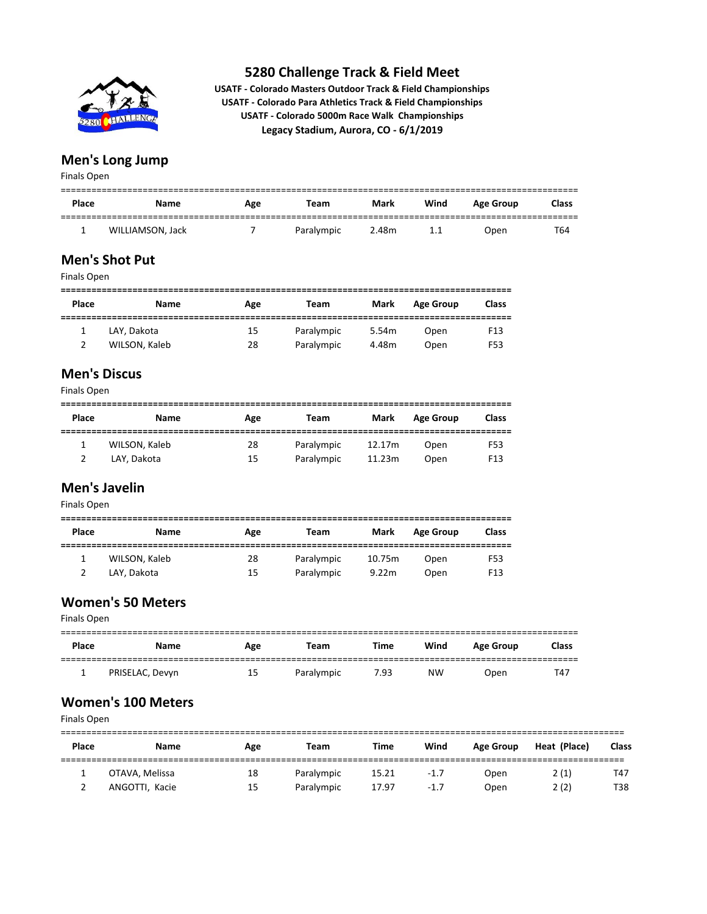

**USATF - Colorado Masters Outdoor Track & Field Championships USATF - Colorado Para Athletics Track & Field Championships USATF - Colorado 5000m Race Walk Championships Legacy Stadium, Aurora, CO - 6/1/2019**

## **Men's Long Jump**

Finals Open

| Place | Name             | Age | Team       | Mark  | Wind | <b>Age Group</b> | <b>Class</b> |
|-------|------------------|-----|------------|-------|------|------------------|--------------|
|       | WILLIAMSON, Jack |     | Paralympic | 2.48m | 1.1  | Open             | T64          |

## **Men's Shot Put**

| Finals Open |  |  |
|-------------|--|--|
|-------------|--|--|

| <b>Place</b> | Name          | Age | Team       | Mark  | <b>Age Group</b> | <b>Class</b>    |
|--------------|---------------|-----|------------|-------|------------------|-----------------|
|              | LAY, Dakota   | 15  | Paralympic | 5.54m | Open             | F <sub>13</sub> |
|              | WILSON, Kaleb | 28  | Paralympic | 4.48m | Open             | F53             |

## **Men's Discus**

Finals Open

| Place | <b>Name</b>   | Age | Team       | Mark   | <b>Age Group</b> | <b>Class</b>    |
|-------|---------------|-----|------------|--------|------------------|-----------------|
|       | WILSON, Kaleb | 28  | Paralympic | 12.17m | Open             | F53             |
|       | LAY. Dakota   | 15  | Paralympic | 11.23m | Open             | F <sub>13</sub> |

## **Men's Javelin**

Finals Open

| Place | <b>Name</b>   | Age | Team       | Mark   | <b>Age Group</b> | <b>Class</b>    |
|-------|---------------|-----|------------|--------|------------------|-----------------|
|       | WILSON, Kaleb | 28  | Paralympic | 10.75m | Open             | F53             |
|       | LAY, Dakota   | 15  | Paralympic | 9.22m  | Open             | F <sub>13</sub> |

#### **Women's 50 Meters**

Finals Open

| Place | Name            | Age | Team       | <b>Time</b> | Wind      | <b>Age Group</b> | <b>Class</b> |
|-------|-----------------|-----|------------|-------------|-----------|------------------|--------------|
|       | PRISELAC, Devyn | 15  | Paralympic | 7.93        | <b>NW</b> | Open             | T47          |

#### **Women's 100 Meters**

Finals Open

| Place | <b>Name</b>    | Age | Team       | Time  | Wind   | Age Group | Heat (Place) | <b>Class</b> |
|-------|----------------|-----|------------|-------|--------|-----------|--------------|--------------|
|       | OTAVA, Melissa | 18  | Paralympic | 15.21 | $-1.7$ | Open      | 2(1)         | T47          |
|       | ANGOTTI, Kacie | 15  | Paralympic | 17.97 | $-1.7$ | Open      | 2(2)         | T38          |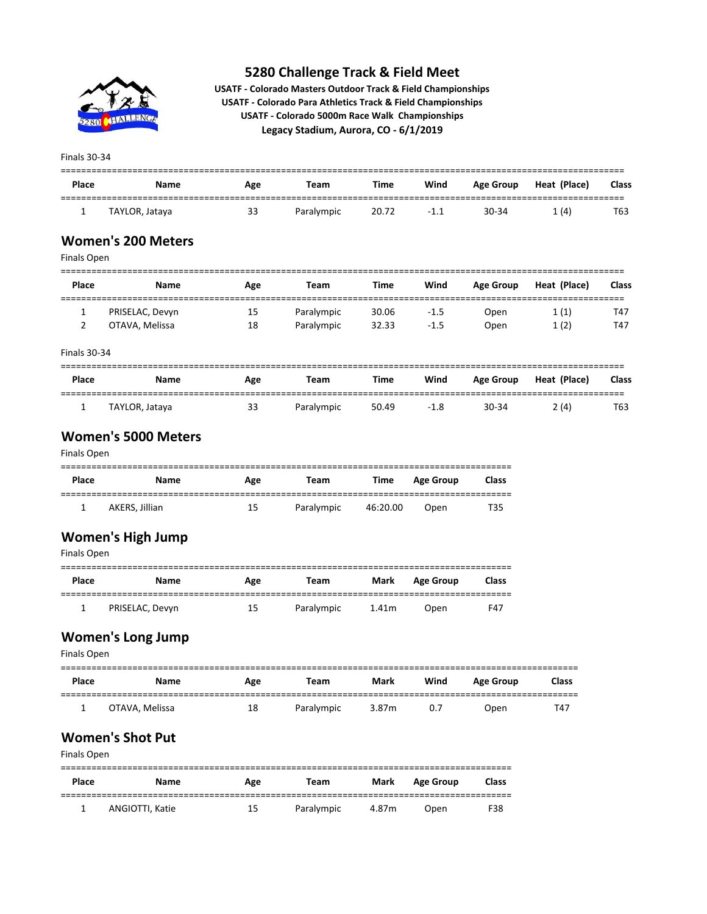

**USATF - Colorado Masters Outdoor Track & Field Championships USATF - Colorado Para Athletics Track & Field Championships USATF - Colorado 5000m Race Walk Championships Legacy Stadium, Aurora, CO - 6/1/2019**

Finals 30-34

| <b>Place</b> | Name           | Age | Team       | Time  | Wind   | <b>Age Group</b> | Heat (Place) | Class |
|--------------|----------------|-----|------------|-------|--------|------------------|--------------|-------|
|              | TAYLOR, Jataya | 33  | Paralympic | 20.72 | $-1.1$ | $30 - 34$        | 1(4)         | T63   |

#### **Women's 200 Meters**

| Finals Open         |                 |     |             |             |        |                  |              |       |  |
|---------------------|-----------------|-----|-------------|-------------|--------|------------------|--------------|-------|--|
| Place               | <b>Name</b>     | Age | <b>Team</b> | <b>Time</b> | Wind   | <b>Age Group</b> | Heat (Place) | Class |  |
|                     | PRISELAC, Devyn | 15  | Paralympic  | 30.06       | $-1.5$ | Open             | 1(1)         | T47   |  |
|                     | OTAVA, Melissa  | 18  | Paralympic  | 32.33       | $-1.5$ | Open             | 1(2)         | T47   |  |
| <b>Finals 30-34</b> |                 |     |             |             |        |                  |              |       |  |

| Place | Name           | Age | Team       | <b>Time</b> | Wind   | Age Group | Heat (Place) | <b>Class</b> |
|-------|----------------|-----|------------|-------------|--------|-----------|--------------|--------------|
|       | TAYLOR, Jataya | 33  | Paralympic | 50.49       | $-1.8$ | 30-34     | 2(4)         | T63          |

#### **Women's 5000 Meters**

#### Finals Open

| Place | Name           | Age | Team       | Time     | <b>Age Group</b> | <b>Class</b> |  |  |  |
|-------|----------------|-----|------------|----------|------------------|--------------|--|--|--|
|       | AKERS, Jillian | 15  | Paralympic | 46:20.00 | Open             | T35          |  |  |  |

## **Women's High Jump**

|       | Finals Open     |     |            |       |                  |              |  |  |  |
|-------|-----------------|-----|------------|-------|------------------|--------------|--|--|--|
| Place | <b>Name</b>     | Age | Team       | Mark  | <b>Age Group</b> | <b>Class</b> |  |  |  |
|       | PRISELAC, Devyn | 15  | Paralympic | 1.41m | Open             | F47          |  |  |  |

## **Women's Long Jump**

Finals Open

| Place | Name           | Age | Team       | Mark  | Wind | <b>Age Group</b> | <b>Class</b> |
|-------|----------------|-----|------------|-------|------|------------------|--------------|
|       | OTAVA, Melissa | 18  | Paralympic | 3.87m | 0.7  | Open             | T47          |

## **Women's Shot Put**

| Finals Open |                 |     |            |       |                  |              |  |  |
|-------------|-----------------|-----|------------|-------|------------------|--------------|--|--|
| Place       | Name            | Age | Team       | Mark  | <b>Age Group</b> | <b>Class</b> |  |  |
|             | ANGIOTTI, Katie | 15  | Paralympic | 4.87m | Open             | F38          |  |  |